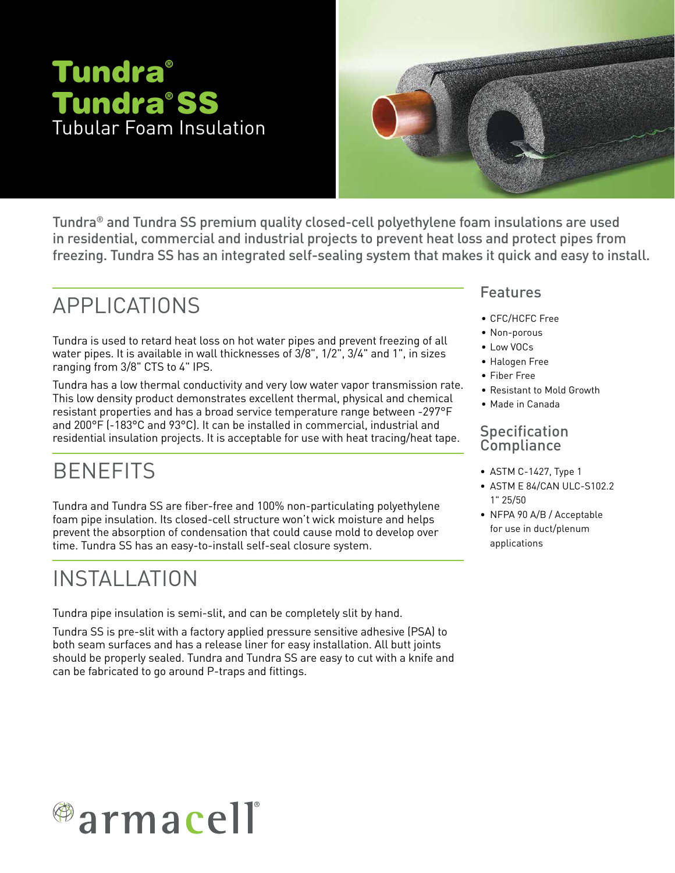# Tundra® SS Tubular Foam Insulation Tundra®



Tundra® and Tundra SS premium quality closed-cell polyethylene foam insulations are used in residential, commercial and industrial projects to prevent heat loss and protect pipes from freezing. Tundra SS has an integrated self-sealing system that makes it quick and easy to install.

## APPLICATIONS

Tundra is used to retard heat loss on hot water pipes and prevent freezing of all water pipes. It is available in wall thicknesses of 3/8", 1/2", 3/4" and 1", in sizes ranging from 3/8" CTS to 4" IPS.

Tundra has a low thermal conductivity and very low water vapor transmission rate. This low density product demonstrates excellent thermal, physical and chemical resistant properties and has a broad service temperature range between -297°F and 200°F (-183°C and 93°C). It can be installed in commercial, industrial and residential insulation projects. It is acceptable for use with heat tracing/heat tape.

## **BENEFITS**

Tundra and Tundra SS are fiber-free and 100% non-particulating polyethylene foam pipe insulation. Its closed-cell structure won't wick moisture and helps prevent the absorption of condensation that could cause mold to develop over time. Tundra SS has an easy-to-install self-seal closure system.

## INSTALLATION

Tundra pipe insulation is semi-slit, and can be completely slit by hand.

Tundra SS is pre-slit with a factory applied pressure sensitive adhesive (PSA) to both seam surfaces and has a release liner for easy installation. All butt joints should be properly sealed. Tundra and Tundra SS are easy to cut with a knife and can be fabricated to go around P-traps and fittings.

### Features

- CFC/HCFC Free
- Non-porous
- Low VOCs
- Halogen Free
- Fiber Free
- Resistant to Mold Growth
- Made in Canada

### **Specification Compliance**

- ASTM C-1427, Type 1
- ASTM E 84/CAN ULC-S102.2 1" 25/50
- NFPA 90 A/B / Acceptable for use in duct/plenum applications